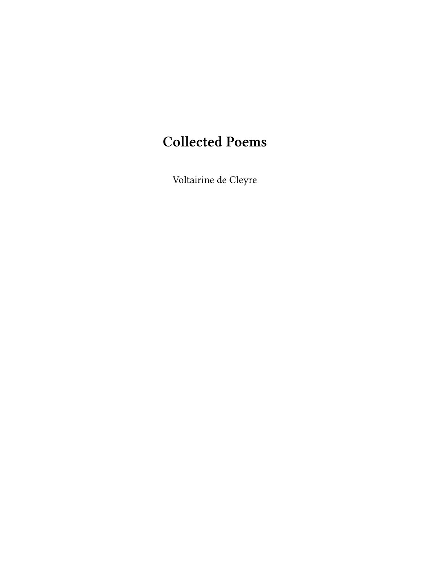# **Collected Poems**

Voltairine de Cleyre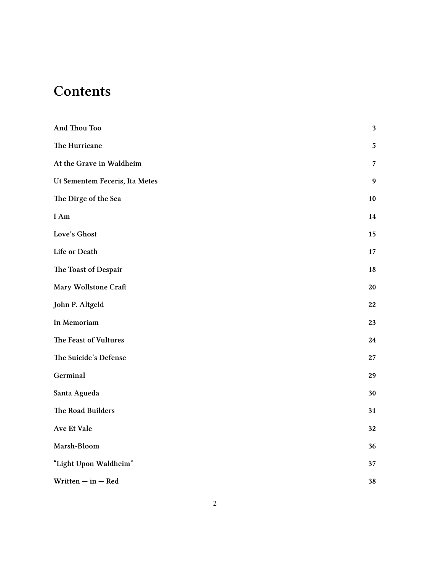# **Contents**

| And Thou Too                   | $\sqrt{3}$     |
|--------------------------------|----------------|
| The Hurricane                  | $\overline{5}$ |
| At the Grave in Waldheim       | 7              |
| Ut Sementem Feceris, Ita Metes | 9              |
| The Dirge of the Sea           | 10             |
| I Am                           | 14             |
| Love's Ghost                   | 15             |
| Life or Death                  | 17             |
| The Toast of Despair           | 18             |
| Mary Wollstone Craft           | 20             |
| John P. Altgeld                | 22             |
| In Memoriam                    | 23             |
| The Feast of Vultures          | 24             |
| The Suicide's Defense          | $\sqrt{27}$    |
| Germinal                       | 29             |
| Santa Agueda                   | 30             |
| The Road Builders              | 31             |
| Ave Et Vale                    | 32             |
| Marsh-Bloom                    | 36             |
| "Light Upon Waldheim"          | 37             |
| Written $-$ in $-$ Red         | 38             |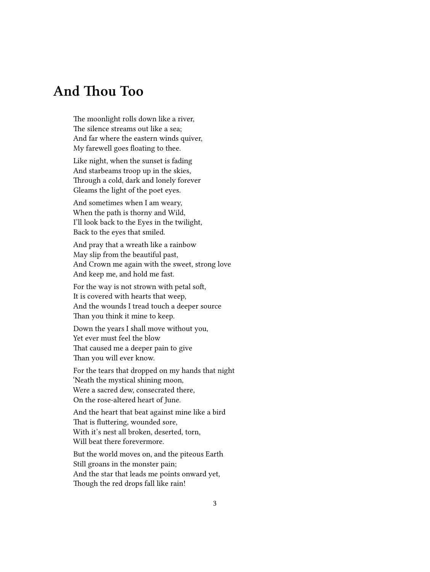# <span id="page-2-0"></span>**And Thou Too**

The moonlight rolls down like a river, The silence streams out like a sea; And far where the eastern winds quiver, My farewell goes floating to thee.

Like night, when the sunset is fading And starbeams troop up in the skies, Through a cold, dark and lonely forever Gleams the light of the poet eyes.

And sometimes when I am weary, When the path is thorny and Wild, I'll look back to the Eyes in the twilight, Back to the eyes that smiled.

And pray that a wreath like a rainbow May slip from the beautiful past, And Crown me again with the sweet, strong love And keep me, and hold me fast.

For the way is not strown with petal soft, It is covered with hearts that weep, And the wounds I tread touch a deeper source Than you think it mine to keep.

Down the years I shall move without you, Yet ever must feel the blow That caused me a deeper pain to give Than you will ever know.

For the tears that dropped on my hands that night 'Neath the mystical shining moon, Were a sacred dew, consecrated there, On the rose-altered heart of June.

And the heart that beat against mine like a bird That is fluttering, wounded sore, With it's nest all broken, deserted, torn, Will beat there forevermore.

But the world moves on, and the piteous Earth Still groans in the monster pain; And the star that leads me points onward yet, Though the red drops fall like rain!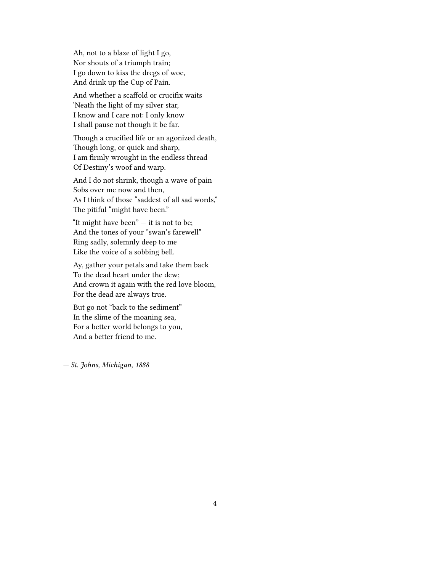Ah, not to a blaze of light I go, Nor shouts of a triumph train; I go down to kiss the dregs of woe, And drink up the Cup of Pain.

And whether a scaffold or crucifix waits 'Neath the light of my silver star, I know and I care not: I only know I shall pause not though it be far.

Though a crucified life or an agonized death, Though long, or quick and sharp, I am firmly wrought in the endless thread Of Destiny's woof and warp.

And I do not shrink, though a wave of pain Sobs over me now and then, As I think of those "saddest of all sad words," The pitiful "might have been."

"It might have been" — it is not to be; And the tones of your "swan's farewell" Ring sadly, solemnly deep to me Like the voice of a sobbing bell.

Ay, gather your petals and take them back To the dead heart under the dew; And crown it again with the red love bloom, For the dead are always true.

But go not "back to the sediment" In the slime of the moaning sea, For a better world belongs to you, And a better friend to me.

*— St. Johns, Michigan, 1888*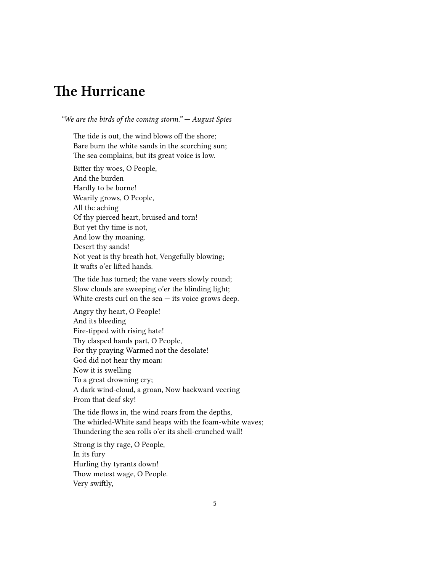# <span id="page-4-0"></span>**The Hurricane**

*"We are the birds of the coming storm." — August Spies*

The tide is out, the wind blows off the shore; Bare burn the white sands in the scorching sun; The sea complains, but its great voice is low.

Bitter thy woes, O People, And the burden Hardly to be borne! Wearily grows, O People, All the aching Of thy pierced heart, bruised and torn! But yet thy time is not, And low thy moaning. Desert thy sands! Not yeat is thy breath hot, Vengefully blowing; It wafts o'er lifted hands.

The tide has turned; the vane veers slowly round; Slow clouds are sweeping o'er the blinding light; White crests curl on the  $sea$   $-$  its voice grows deep.

Angry thy heart, O People! And its bleeding Fire-tipped with rising hate! Thy clasped hands part, O People, For thy praying Warmed not the desolate! God did not hear thy moan: Now it is swelling To a great drowning cry; A dark wind-cloud, a groan, Now backward veering From that deaf sky!

The tide flows in, the wind roars from the depths, The whirled-White sand heaps with the foam-white waves; Thundering the sea rolls o'er its shell-crunched wall!

Strong is thy rage, O People, In its fury Hurling thy tyrants down! Thow metest wage, O People. Very swiftly,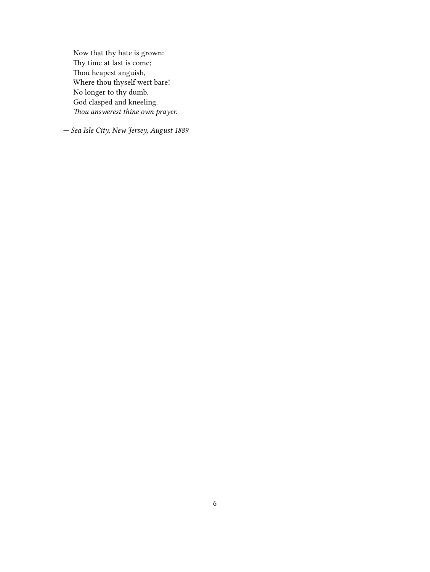Now that thy hate is grown: Thy time at last is come; Thou heapest anguish, Where thou thyself wert bare! No longer to thy dumb. God clasped and kneeling. *Thou answerest thine own prayer.*

*— Sea Isle City, New Jersey, August 1889*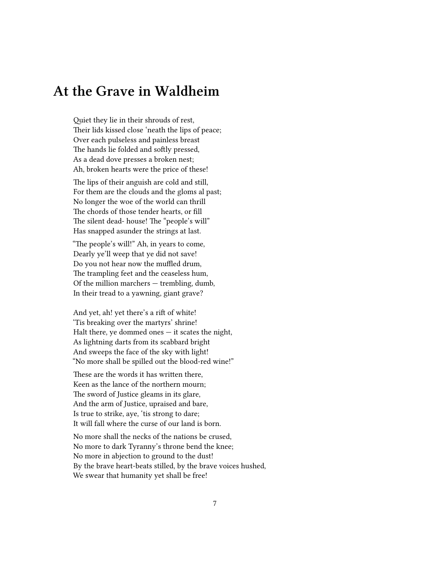#### <span id="page-6-0"></span>**At the Grave in Waldheim**

Quiet they lie in their shrouds of rest, Their lids kissed close 'neath the lips of peace; Over each pulseless and painless breast The hands lie folded and softly pressed, As a dead dove presses a broken nest; Ah, broken hearts were the price of these!

The lips of their anguish are cold and still, For them are the clouds and the gloms al past; No longer the woe of the world can thrill The chords of those tender hearts, or fill The silent dead- house! The "people's will" Has snapped asunder the strings at last.

"The people's will!" Ah, in years to come, Dearly ye'll weep that ye did not save! Do you not hear now the muffled drum, The trampling feet and the ceaseless hum, Of the million marchers — trembling, dumb, In their tread to a yawning, giant grave?

And yet, ah! yet there's a rift of white! 'Tis breaking over the martyrs' shrine! Halt there, ye dommed ones  $-$  it scates the night, As lightning darts from its scabbard bright And sweeps the face of the sky with light! "No more shall be spilled out the blood-red wine!"

These are the words it has written there, Keen as the lance of the northern mourn; The sword of Justice gleams in its glare, And the arm of Justice, upraised and bare, Is true to strike, aye, 'tis strong to dare; It will fall where the curse of our land is born.

No more shall the necks of the nations be crused, No more to dark Tyranny's throne bend the knee; No more in abjection to ground to the dust! By the brave heart-beats stilled, by the brave voices hushed, We swear that humanity yet shall be free!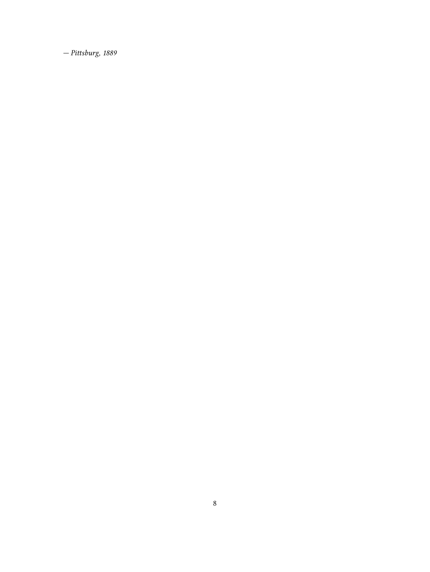*— Pittsburg, 1889*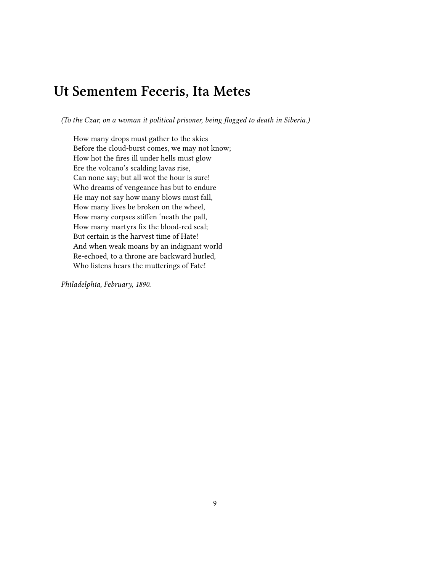### <span id="page-8-0"></span>**Ut Sementem Feceris, Ita Metes**

*(To the Czar, on a woman it political prisoner, being flogged to death in Siberia.)*

How many drops must gather to the skies Before the cloud-burst comes, we may not know; How hot the fires ill under hells must glow Ere the volcano's scalding lavas rise, Can none say; but all wot the hour is sure! Who dreams of vengeance has but to endure He may not say how many blows must fall, How many lives be broken on the wheel, How many corpses stiffen 'neath the pall, How many martyrs fix the blood-red seal; But certain is the harvest time of Hate! And when weak moans by an indignant world Re-echoed, to a throne are backward hurled, Who listens hears the mutterings of Fate!

*Philadelphia, February, 1890.*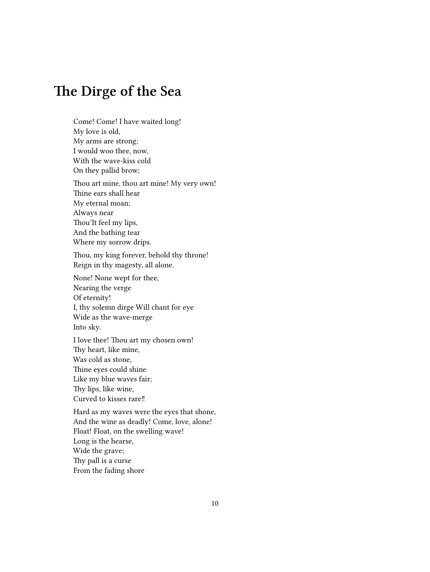# <span id="page-9-0"></span>**The Dirge of the Sea**

Come! Come! I have waited long! My love is old, My arms are strong; I would woo thee, now, With the wave-kiss cold On they pallid brow; Thou art mine, thou art mine! My very own! Thine ears shall hear My eternal moan; Always near Thou'It feel my lips, And the bathing tear Where my sorrow drips. Thou, my king forever, behold thy throne! Reign in thy magesty, all alone. None! None wept for thee, Nearing the verge Of eternity! I, thy solemn dirge Will chant for eye Wide as the wave-merge Into sky.

I love thee! Thou art my chosen own! Thy heart, like mine, Was cold as stone, Thine eyes could shine Like my blue waves fair; Thy lips, like wine, Curved to kisses rare‼

Hard as my waves were the eyes that shone, And the wine as deadly! Come, love, alone! Float! Float, on the swelling wave! Long is the hearse, Wide the grave; Thy pall is a curse From the fading shore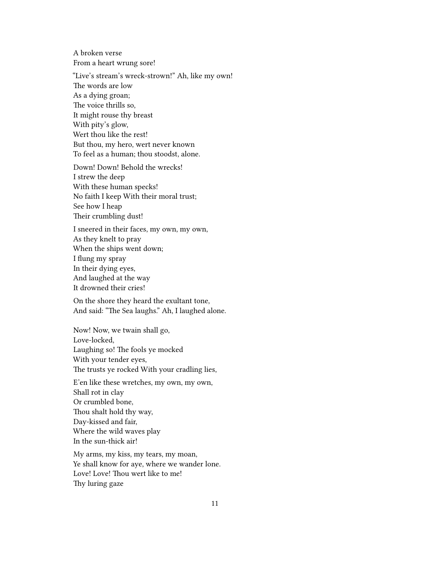A broken verse From a heart wrung sore!

"Live's stream's wreck-strown!" Ah, like my own! The words are low As a dying groan; The voice thrills so, It might rouse thy breast With pity's glow, Wert thou like the rest! But thou, my hero, wert never known To feel as a human; thou stoodst, alone.

Down! Down! Behold the wrecks! I strew the deep With these human specks! No faith I keep With their moral trust; See how I heap Their crumbling dust!

I sneered in their faces, my own, my own, As they knelt to pray When the ships went down; I flung my spray In their dying eyes, And laughed at the way It drowned their cries!

On the shore they heard the exultant tone, And said: "The Sea laughs." Ah, I laughed alone.

Now! Now, we twain shall go, Love-locked, Laughing so! The fools ye mocked With your tender eyes, The trusts ye rocked With your cradling lies,

E'en like these wretches, my own, my own, Shall rot in clay Or crumbled bone, Thou shalt hold thy way, Day-kissed and fair, Where the wild waves play In the sun-thick air!

My arms, my kiss, my tears, my moan, Ye shall know for aye, where we wander lone. Love! Love! Thou wert like to me! Thy luring gaze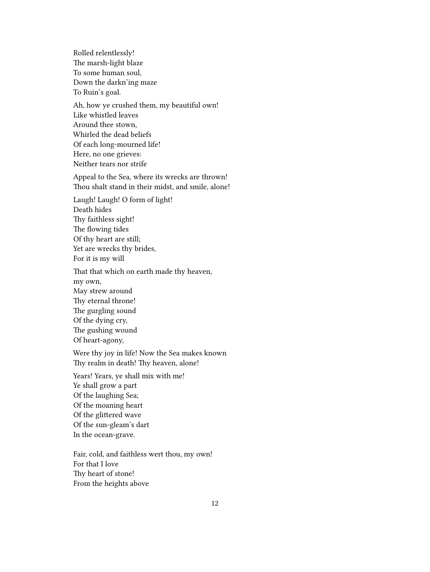Rolled relentlessly! The marsh-light blaze To some human soul, Down the darkn'ing maze To Ruin's goal.

Ah, how ye crushed them, my beautiful own! Like whistled leaves Around thee stown, Whirled the dead beliefs Of each long-mourned life! Here, no one grieves: Neither tears nor strife

Appeal to the Sea, where its wrecks are thrown! Thou shalt stand in their midst, and smile, alone!

Laugh! Laugh! O form of light! Death hides Thy faithless sight! The flowing tides Of thy heart are still; Yet are wrecks thy brides, For it is my will

That that which on earth made thy heaven, my own, May strew around Thy eternal throne! The gurgling sound Of the dying cry, The gushing wound Of heart-agony,

Were thy joy in life! Now the Sea makes known Thy realm in death! Thy heaven, alone!

Years! Years, ye shall mix with me! Ye shall grow a part Of the laughing Sea; Of the moaning heart Of the glittered wave Of the sun-gleam's dart In the ocean-grave.

Fair, cold, and faithless wert thou, my own! For that I love Thy heart of stone! From the heights above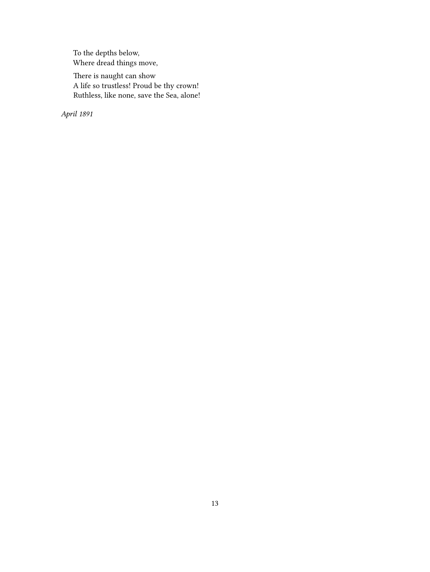To the depths below, Where dread things move,

There is naught can show A life so trustless! Proud be thy crown! Ruthless, like none, save the Sea, alone!

*April 1891*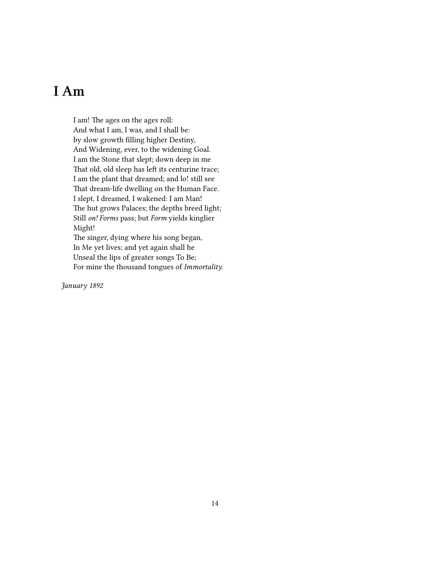# <span id="page-13-0"></span>**I Am**

I am! The ages on the ages roll: And what I am, I was, and I shall be: by slow growth filling higher Destiny, And Widening, ever, to the widening Goal. I am the Stone that slept; down deep in me That old, old sleep has left its centurine trace; I am the plant that dreamed; and lo! still see That dream-life dwelling on the Human Face. I slept, I dreamed, I wakened: I am Man! The hut grows Palaces; the depths breed light; Still *on! Forms* pass; but *Form* yields kinglier Might! The singer, dying where his song began,

In Me yet lives; and yet again shall he Unseal the lips of greater songs To Be; For mine the thousand tongues of *Immortality.*

*January 1892*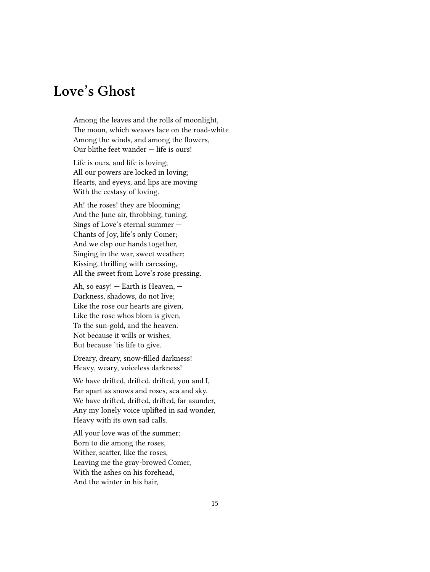# <span id="page-14-0"></span>**Love's Ghost**

Among the leaves and the rolls of moonlight, The moon, which weaves lace on the road-white Among the winds, and among the flowers, Our blithe feet wander — life is ours!

Life is ours, and life is loving; All our powers are locked in loving; Hearts, and eyeys, and lips are moving With the ecstasy of loving.

Ah! the roses! they are blooming; And the June air, throbbing, tuning, Sings of Love's eternal summer — Chants of Joy, life's only Comer; And we clsp our hands together, Singing in the war, sweet weather; Kissing, thrilling with caressing, All the sweet from Love's rose pressing.

Ah, so easy! — Earth is Heaven, — Darkness, shadows, do not live; Like the rose our hearts are given, Like the rose whos blom is given, To the sun-gold, and the heaven. Not because it wills or wishes, But because 'tis life to give.

Dreary, dreary, snow-filled darkness! Heavy, weary, voiceless darkness!

We have drifted, drifted, drifted, you and I, Far apart as snows and roses, sea and sky. We have drifted, drifted, drifted, far asunder, Any my lonely voice uplifted in sad wonder, Heavy with its own sad calls.

All your love was of the summer; Born to die among the roses, Wither, scatter, like the roses, Leaving me the gray-browed Comer, With the ashes on his forehead, And the winter in his hair,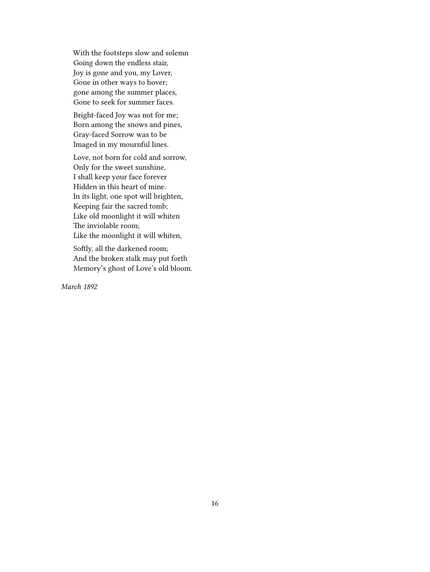With the footsteps slow and solemn Going down the endless stair, Joy is gone and you, my Lover, Gone in other ways to hover; gone among the summer places, Gone to seek for summer faces.

Bright-faced Joy was not for me; Born among the snows and pines, Gray-faced Sorrow was to be Imaged in my mournful lines.

Love, not born for cold and sorrow, Only for the sweet sunshine, I shall keep your face forever Hidden in this heart of mine. In its light, one spot will brighten, Keeping fair the sacred tomb; Like old moonlight it will whiten The inviolable room; Like the moonlight it will whiten,

Softly, all the darkened room; And the broken stalk may put forth Memory's ghost of Love's old bloom.

*March 1892*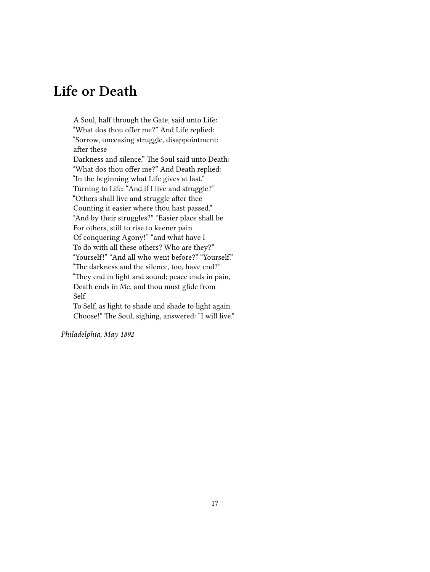# <span id="page-16-0"></span>**Life or Death**

A Soul, half through the Gate, said unto Life: "What dos thou offer me?" And Life replied: "Sorrow, unceasing struggle, disappointment; after these Darkness and silence." The Soul said unto Death: "What dos thou offer me?" And Death replied: "In the beginning what Life gives at last." Turning to Life: "And if I live and struggle?" "Others shall live and struggle after thee Counting it easier where thou hast passed." "And by their struggles?" "Easier place shall be For others, still to rise to keener pain Of conquering Agony!" "and what have I To do with all these others? Who are they?" "Yourself!" "And all who went before?" "Yourself." "The darkness and the silence, too, have end?" "They end in light and sound; peace ends in pain, Death ends in Me, and thou must glide from Self To Self, as light to shade and shade to light again.

Choose!" The Soul, sighing, answered: "I will live."

*Philadelphia, May 1892*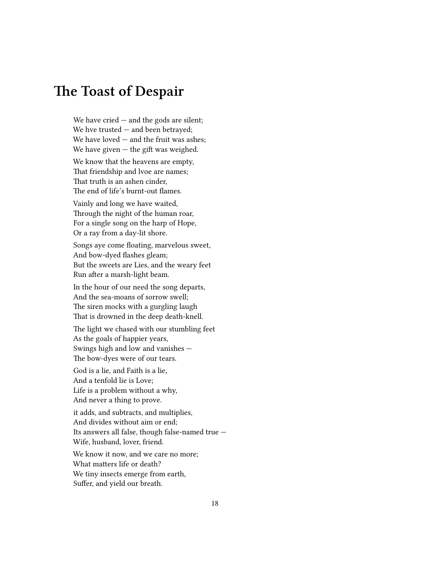#### <span id="page-17-0"></span>**The Toast of Despair**

We have cried  $-$  and the gods are silent; We hve trusted — and been betrayed; We have loved — and the fruit was ashes; We have given  $-$  the gift was weighed.

We know that the heavens are empty, That friendship and lvoe are names; That truth is an ashen cinder, The end of life's burnt-out flames.

Vainly and long we have waited, Through the night of the human roar, For a single song on the harp of Hope, Or a ray from a day-lit shore.

Songs aye come floating, marvelous sweet, And bow-dyed flashes gleam; But the sweets are Lies, and the weary feet Run after a marsh-light beam.

In the hour of our need the song departs, And the sea-moans of sorrow swell; The siren mocks with a gurgling laugh That is drowned in the deep death-knell.

The light we chased with our stumbling feet As the goals of happier years, Swings high and low and vanishes — The bow-dyes were of our tears.

God is a lie, and Faith is a lie, And a tenfold lie is Love; Life is a problem without a why, And never a thing to prove.

it adds, and subtracts, and multiplies, And divides without aim or end; Its answers all false, though false-named true — Wife, husband, lover, friend.

We know it now, and we care no more: What matters life or death? We tiny insects emerge from earth, Suffer, and yield our breath.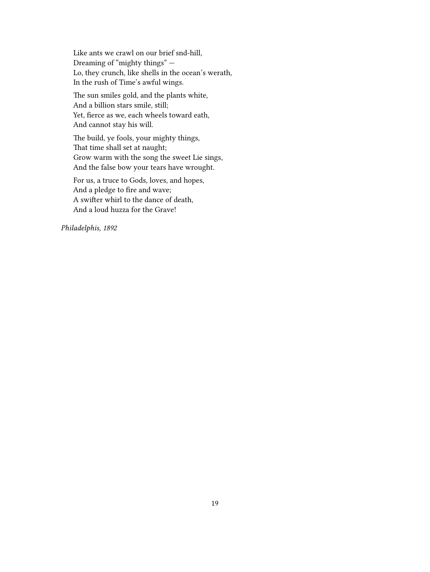Like ants we crawl on our brief snd-hill, Dreaming of "mighty things" — Lo, they crunch, like shells in the ocean's werath, In the rush of Time's awful wings.

The sun smiles gold, and the plants white, And a billion stars smile, still; Yet, fierce as we, each wheels toward eath, And cannot stay his will.

The build, ye fools, your mighty things, That time shall set at naught; Grow warm with the song the sweet Lie sings, And the false bow your tears have wrought.

For us, a truce to Gods, loves, and hopes, And a pledge to fire and wave; A swifter whirl to the dance of death, And a loud huzza for the Grave!

*Philadelphis, 1892*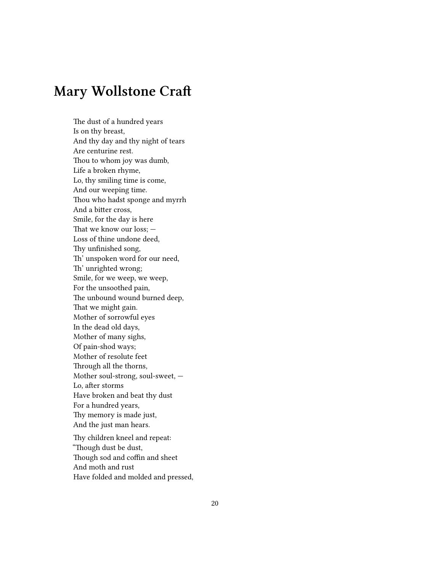# <span id="page-19-0"></span>**Mary Wollstone Craft**

The dust of a hundred years Is on thy breast, And thy day and thy night of tears Are centurine rest. Thou to whom joy was dumb, Life a broken rhyme, Lo, thy smiling time is come, And our weeping time. Thou who hadst sponge and myrrh And a bitter cross, Smile, for the day is here That we know our loss; — Loss of thine undone deed, Thy unfinished song, Th' unspoken word for our need, Th' unrighted wrong; Smile, for we weep, we weep, For the unsoothed pain, The unbound wound burned deep, That we might gain. Mother of sorrowful eyes In the dead old days, Mother of many sighs, Of pain-shod ways; Mother of resolute feet Through all the thorns, Mother soul-strong, soul-sweet, — Lo, after storms Have broken and beat thy dust For a hundred years, Thy memory is made just, And the just man hears.

Thy children kneel and repeat: "Though dust be dust, Though sod and coffin and sheet And moth and rust Have folded and molded and pressed,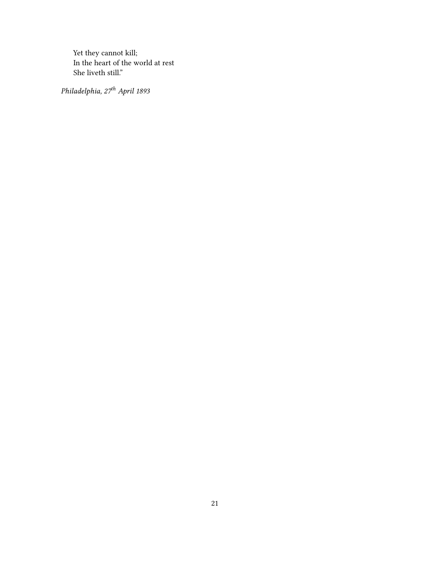Yet they cannot kill; In the heart of the world at rest She liveth still."

*Philadelphia, 27th April 1893*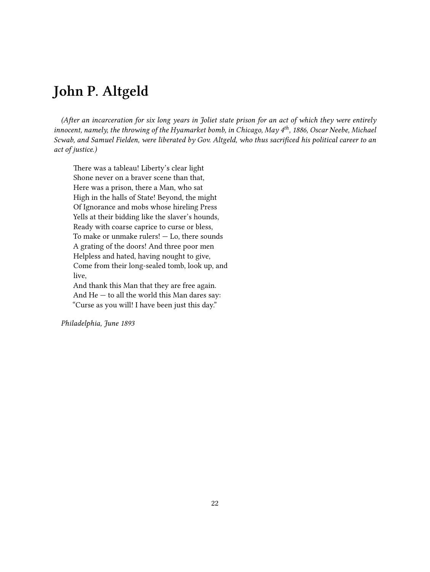# <span id="page-21-0"></span>**John P. Altgeld**

*(After an incarceration for six long years in Joliet state prison for an act of which they were entirely innocent, namely, the throwing of the Hyamarket bomb, in Chicago, May 4th, 1886, Oscar Neebe, Michael Scwab, and Samuel Fielden, were liberated by Gov. Altgeld, who thus sacrificed his political career to an act of justice.)*

There was a tableau! Liberty's clear light Shone never on a braver scene than that, Here was a prison, there a Man, who sat High in the halls of State! Beyond, the might Of Ignorance and mobs whose hireling Press Yells at their bidding like the slaver's hounds, Ready with coarse caprice to curse or bless, To make or unmake rulers! — Lo, there sounds A grating of the doors! And three poor men Helpless and hated, having nought to give, Come from their long-sealed tomb, look up, and live, And thank this Man that they are free again. And He — to all the world this Man dares say:

"Curse as you will! I have been just this day."

*Philadelphia, June 1893*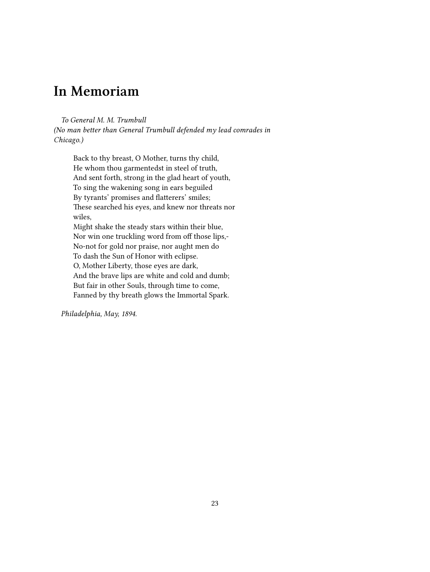### <span id="page-22-0"></span>**In Memoriam**

*To General M. M. Trumbull*

*(No man better than General Trumbull defended my lead comrades in Chicago.)*

Back to thy breast, O Mother, turns thy child, He whom thou garmentedst in steel of truth, And sent forth, strong in the glad heart of youth, To sing the wakening song in ears beguiled By tyrants' promises and flatterers' smiles; These searched his eyes, and knew nor threats nor wiles, Might shake the steady stars within their blue, Nor win one truckling word from off those lips,- No-not for gold nor praise, nor aught men do To dash the Sun of Honor with eclipse. O, Mother Liberty, those eyes are dark, And the brave lips are white and cold and dumb; But fair in other Souls, through time to come, Fanned by thy breath glows the Immortal Spark.

*Philadelphia, May, 1894.*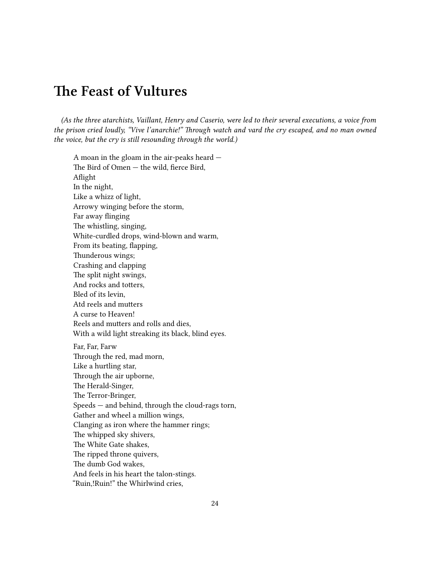### <span id="page-23-0"></span>**The Feast of Vultures**

*(As the three atarchists, Vaillant, Henry and Caserio, were led to their several executions, a voice from the prison cried loudly, "Vive l'anarchie!" Through watch and vard the cry escaped, and no man owned the voice, but the cry is still resounding through the world.)*

A moan in the gloam in the air-peaks heard — The Bird of Omen — the wild, fierce Bird, Aflight In the night, Like a whizz of light, Arrowy winging before the storm, Far away flinging The whistling, singing, White-curdled drops, wind-blown and warm, From its beating, flapping, Thunderous wings; Crashing and clapping The split night swings, And rocks and totters, Bled of its levin, Atd reels and mutters A curse to Heaven! Reels and mutters and rolls and dies, With a wild light streaking its black, blind eyes. Far, Far, Farw Through the red, mad morn, Like a hurtling star, Through the air upborne, The Herald-Singer, The Terror-Bringer, Speeds — and behind, through the cloud-rags torn, Gather and wheel a million wings, Clanging as iron where the hammer rings; The whipped sky shivers, The White Gate shakes, The ripped throne quivers, The dumb God wakes, And feels in his heart the talon-stings. "Ruin,!Ruin!" the Whirlwind cries,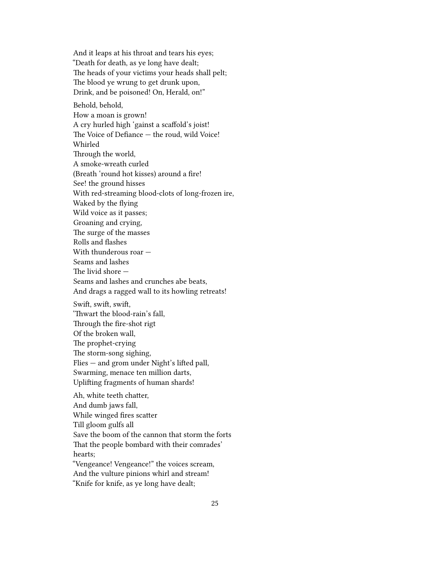And it leaps at his throat and tears his eyes; "Death for death, as ye long have dealt; The heads of your victims your heads shall pelt; The blood ye wrung to get drunk upon, Drink, and be poisoned! On, Herald, on!"

Behold, behold, How a moan is grown! A cry hurled high 'gainst a scaffold's joist! The Voice of Defiance — the roud, wild Voice! Whirled Through the world, A smoke-wreath curled (Breath 'round hot kisses) around a fire! See! the ground hisses With red-streaming blood-clots of long-frozen ire, Waked by the flying Wild voice as it passes; Groaning and crying, The surge of the masses Rolls and flashes With thunderous roar — Seams and lashes The livid shore — Seams and lashes and crunches abe beats, And drags a ragged wall to its howling retreats! Swift, swift, swift, 'Thwart the blood-rain's fall, Through the fire-shot rigt Of the broken wall, The prophet-crying The storm-song sighing, Flies — and grom under Night's lifted pall, Swarming, menace ten million darts, Uplifting fragments of human shards!

Ah, white teeth chatter, And dumb jaws fall, While winged fires scatter Till gloom gulfs all Save the boom of the cannon that storm the forts That the people bombard with their comrades' hearts; "Vengeance! Vengeance!" the voices scream, And the vulture pinions whirl and stream! "Knife for knife, as ye long have dealt;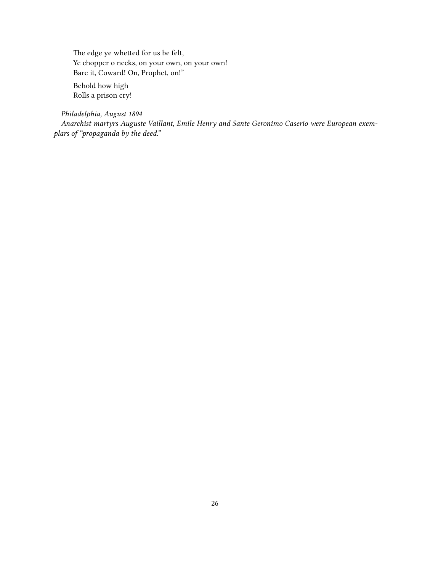The edge ye whetted for us be felt, Ye chopper o necks, on your own, on your own! Bare it, Coward! On, Prophet, on!"

Behold how high Rolls a prison cry!

*Philadelphia, August 1894*

*Anarchist martyrs Auguste Vaillant, Emile Henry and Sante Geronimo Caserio were European exemplars of "propaganda by the deed."*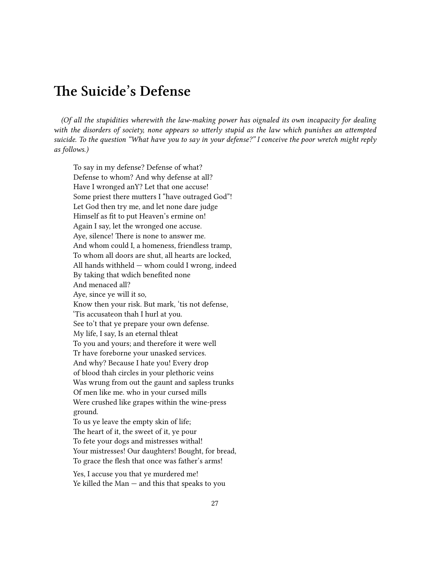### <span id="page-26-0"></span>**The Suicide's Defense**

*(Of all the stupidities wherewith the law-making power has oignaled its own incapacity for dealing with the disorders of society, none appears so utterly stupid as the law which punishes an attempted suicide. To the question "What have you to say in your defense?" I conceive the poor wretch might reply as follows.)*

To say in my defense? Defense of what? Defense to whom? And why defense at all? Have I wronged anY? Let that one accuse! Some priest there mutters I "have outraged God"! Let God then try me, and let none dare judge Himself as fit to put Heaven's ermine on! Again I say, let the wronged one accuse. Aye, silence! There is none to answer me. And whom could I, a homeness, friendless tramp, To whom all doors are shut, all hearts are locked, All hands withheld — whom could I wrong, indeed By taking that wdich benefited none And menaced all? Aye, since ye will it so, Know then your risk. But mark, 'tis not defense, 'Tis accusateon thah I hurl at you. See to't that ye prepare your own defense. My life, I say, Is an eternal thleat To you and yours; and therefore it were well Tr have foreborne your unasked services. And why? Because I hate you! Every drop of blood thah circles in your plethoric veins Was wrung from out the gaunt and sapless trunks Of men like me. who in your cursed mills Were crushed like grapes within the wine-press ground. To us ye leave the empty skin of life; The heart of it, the sweet of it, ye pour To fete your dogs and mistresses withal! Your mistresses! Our daughters! Bought, for bread, To grace the flesh that once was father's arms! Yes, I accuse you that ye murdered me!

Ye killed the Man — and this that speaks to you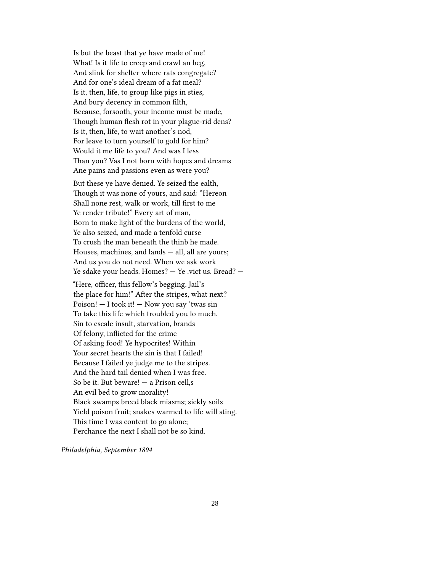Is but the beast that ye have made of me! What! Is it life to creep and crawl an beg, And slink for shelter where rats congregate? And for one's ideal dream of a fat meal? Is it, then, life, to group like pigs in sties, And bury decency in common filth, Because, forsooth, your income must be made, Though human flesh rot in your plague-rid dens? Is it, then, life, to wait another's nod, For leave to turn yourself to gold for him? Would it me life to you? And was I less Than you? Vas I not born with hopes and dreams Ane pains and passions even as were you?

But these ye have denied. Ye seized the ealth, Though it was none of yours, and said: "Hereon Shall none rest, walk or work, till first to me Ye render tribute!" Every art of man, Born to make light of the burdens of the world, Ye also seized, and made a tenfold curse To crush the man beneath the thinb he made. Houses, machines, and lands — all, all are yours; And us you do not need. When we ask work Ye sdake your heads. Homes? — Ye .vict us. Bread? —

"Here, officer, this fellow's begging. Jail's the place for him!" After the stripes, what next? Poison!  $-$  I took it!  $-$  Now you say 'twas sin To take this life which troubled you lo much. Sin to escale insult, starvation, brands Of felony, inflicted for the crime Of asking food! Ye hypocrites! Within Your secret hearts the sin is that I failed! Because I failed ye judge me to the stripes. And the hard tail denied when I was free. So be it. But beware! — a Prison cell,s An evil bed to grow morality! Black swamps breed black miasms; sickly soils Yield poison fruit; snakes warmed to life will sting. This time I was content to go alone; Perchance the next I shall not be so kind.

*Philadelphia, September 1894*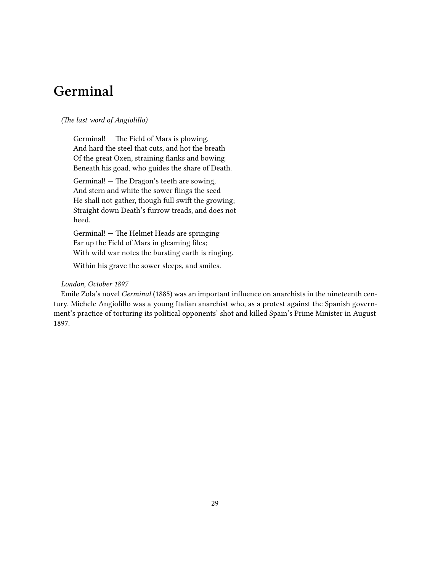### <span id="page-28-0"></span>**Germinal**

#### *(The last word of Angiolillo)*

Germinal! — The Field of Mars is plowing, And hard the steel that cuts, and hot the breath Of the great Oxen, straining flanks and bowing Beneath his goad, who guides the share of Death.

Germinal! — The Dragon's teeth are sowing, And stern and white the sower flings the seed He shall not gather, though full swift the growing; Straight down Death's furrow treads, and does not heed.

Germinal! — The Helmet Heads are springing Far up the Field of Mars in gleaming files; With wild war notes the bursting earth is ringing.

Within his grave the sower sleeps, and smiles.

#### *London, October 1897*

Emile Zola's novel *Germinal* (1885) was an important influence on anarchists in the nineteenth century. Michele Angiolillo was a young Italian anarchist who, as a protest against the Spanish government's practice of torturing its political opponents' shot and killed Spain's Prime Minister in August 1897.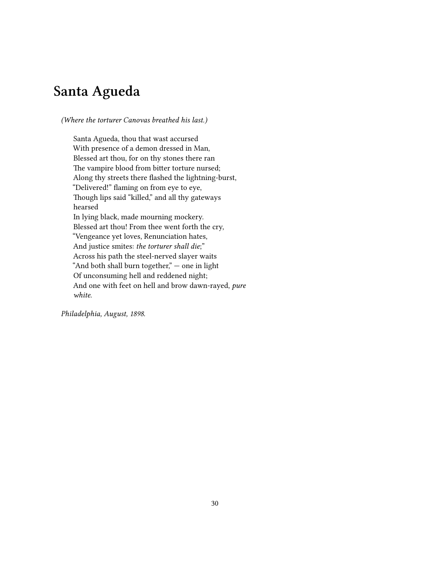# <span id="page-29-0"></span>**Santa Agueda**

*(Where the torturer Canovas breathed his last.)*

Santa Agueda, thou that wast accursed With presence of a demon dressed in Man, Blessed art thou, for on thy stones there ran The vampire blood from bitter torture nursed; Along thy streets there flashed the lightning-burst, "Delivered!" flaming on from eye to eye, Though lips said "killed," and all thy gateways hearsed In lying black, made mourning mockery. Blessed art thou! From thee went forth the cry, "Vengeance yet loves, Renunciation hates, And justice smites: *the torturer shall die*;" Across his path the steel-nerved slayer waits "And both shall burn together," — one in light Of unconsuming hell and reddened night; And one with feet on hell and brow dawn-rayed, *pure white*.

*Philadelphia, August, 1898.*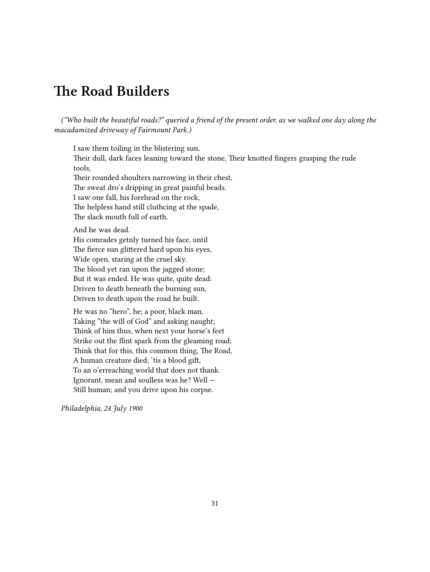## <span id="page-30-0"></span>**The Road Builders**

*("Who built the beautiful roads?" queried a friend of the present order, as we walked one day along the macadamized driveway of Fairmount Park.)*

I saw them toiling in the blistering sun, Their dull, dark faces leaning toward the stone, Their knotted fingers grasping the rude tools, Their rounded shoulters narrowing in their chest, The sweat dro's dripping in great painful beads. I saw one fall, his forehead on the rock, The helpless hand still cluthcing at the spade, The slack mouth full of earth. And he was dead. His comrades getnly turned his face, until The fierce sun glittered hard upon his eyes, Wide open, staring at the cruel sky. The blood yet ran upon the jagged stone; But it was ended. He was quite, quite dead: Driven to death beneath the burning sun, Driven to death upon the road he built.

He was no "hero", he; a poor, black man, Taking "the will of God" and asking naught; Think of him thus, when next your horse's feet Strike out the flint spark from the gleaming road; Think that for this, this common thing, The Road, A human creature died; 'tis a blood gift, To an o'erreaching world that does not thank. Ignorant, mean and soulless was he? Well — Still human; and you drive upon his corpse.

*Philadelphia, 24 July 1900*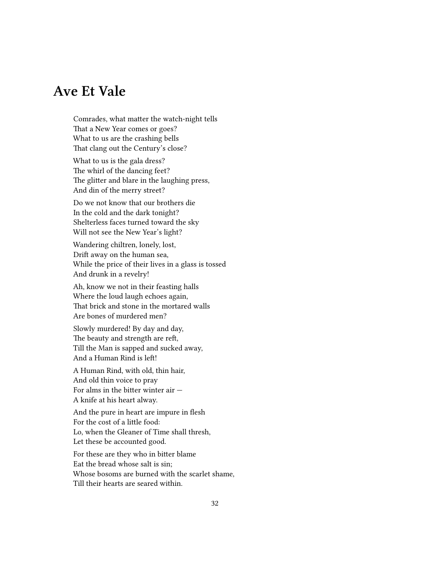## <span id="page-31-0"></span>**Ave Et Vale**

Comrades, what matter the watch-night tells That a New Year comes or goes? What to us are the crashing bells That clang out the Century's close?

What to us is the gala dress? The whirl of the dancing feet? The glitter and blare in the laughing press, And din of the merry street?

Do we not know that our brothers die In the cold and the dark tonight? Shelterless faces turned toward the sky Will not see the New Year's light?

Wandering chiltren, lonely, lost, Drift away on the human sea, While the price of their lives in a glass is tossed And drunk in a revelry!

Ah, know we not in their feasting halls Where the loud laugh echoes again, That brick and stone in the mortared walls Are bones of murdered men?

Slowly murdered! By day and day, The beauty and strength are reft, Till the Man is sapped and sucked away, And a Human Rind is left!

A Human Rind, with old, thin hair, And old thin voice to pray For alms in the bitter winter air  $-$ A knife at his heart alway.

And the pure in heart are impure in flesh For the cost of a little food: Lo, when the Gleaner of Time shall thresh, Let these be accounted good.

For these are they who in bitter blame Eat the bread whose salt is sin; Whose bosoms are burned with the scarlet shame, Till their hearts are seared within.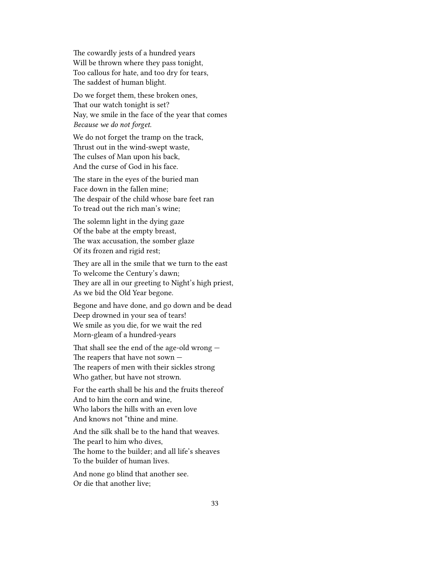The cowardly jests of a hundred years Will be thrown where they pass tonight, Too callous for hate, and too dry for tears, The saddest of human blight.

Do we forget them, these broken ones, That our watch tonight is set? Nay, we smile in the face of the year that comes *Because we do not forget.*

We do not forget the tramp on the track, Thrust out in the wind-swept waste, The culses of Man upon his back, And the curse of God in his face.

The stare in the eyes of the buried man Face down in the fallen mine; The despair of the child whose bare feet ran To tread out the rich man's wine;

The solemn light in the dying gaze Of the babe at the empty breast, The wax accusation, the somber glaze Of its frozen and rigid rest;

They are all in the smile that we turn to the east To welcome the Century's dawn; They are all in our greeting to Night's high priest, As we bid the Old Year begone.

Begone and have done, and go down and be dead Deep drowned in your sea of tears! We smile as you die, for we wait the red Morn-gleam of a hundred-years

That shall see the end of the age-old wrong — The reapers that have not sown — The reapers of men with their sickles strong Who gather, but have not strown.

For the earth shall be his and the fruits thereof And to him the corn and wine, Who labors the hills with an even love And knows not "thine and mine.

And the silk shall be to the hand that weaves. The pearl to him who dives, The home to the builder; and all life's sheaves To the builder of human lives.

And none go blind that another see. Or die that another live;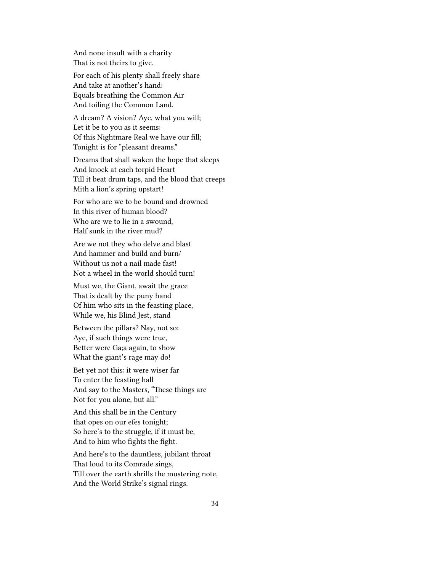And none insult with a charity That is not theirs to give.

For each of his plenty shall freely share And take at another's hand: Equals breathing the Common Air And toiling the Common Land.

A dream? A vision? Aye, what you will; Let it be to you as it seems: Of this Nightmare Real we have our fill; Tonight is for "pleasant dreams."

Dreams that shall waken the hope that sleeps And knock at each torpid Heart Till it beat drum taps, and the blood that creeps Mith a lion's spring upstart!

For who are we to be bound and drowned In this river of human blood? Who are we to lie in a swound, Half sunk in the river mud?

Are we not they who delve and blast And hammer and build and burn/ Without us not a nail made fast! Not a wheel in the world should turn!

Must we, the Giant, await the grace That is dealt by the puny hand Of him who sits in the feasting place, While we, his Blind Jest, stand

Between the pillars? Nay, not so: Aye, if such things were true, Better were Ga;a again, to show What the giant's rage may do!

Bet yet not this: it were wiser far To enter the feasting hall And say to the Masters, "These things are Not for you alone, but all."

And this shall be in the Century that opes on our efes tonight; So here's to the struggle, if it must be, And to him who fights the fight.

And here's to the dauntless, jubilant throat That loud to its Comrade sings, Till over the earth shrills the mustering note, And the World Strike's signal rings.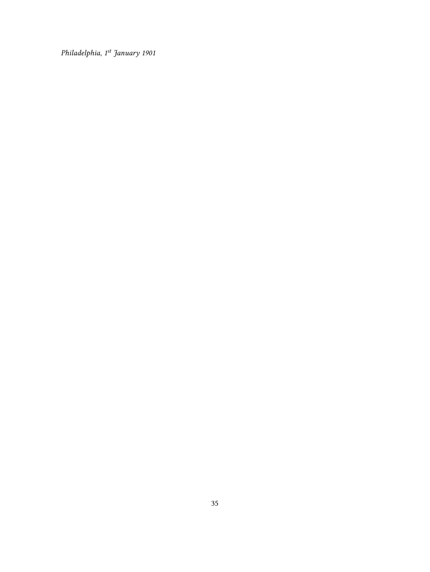*Philadelphia, 1st January 1901*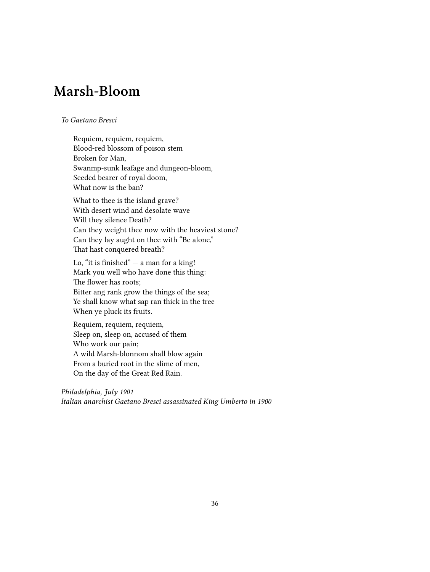# <span id="page-35-0"></span>**Marsh-Bloom**

#### *To Gaetano Bresci*

Requiem, requiem, requiem, Blood-red blossom of poison stem Broken for Man, Swanmp-sunk leafage and dungeon-bloom, Seeded bearer of royal doom, What now is the ban?

What to thee is the island grave? With desert wind and desolate wave Will they silence Death? Can they weight thee now with the heaviest stone? Can they lay aught on thee with "Be alone," That hast conquered breath?

Lo, "it is finished"  $-$  a man for a king! Mark you well who have done this thing: The flower has roots; Bitter ang rank grow the things of the sea; Ye shall know what sap ran thick in the tree When ye pluck its fruits.

Requiem, requiem, requiem, Sleep on, sleep on, accused of them Who work our pain; A wild Marsh-blonnom shall blow again From a buried root in the slime of men, On the day of the Great Red Rain.

*Philadelphia, July 1901 Italian anarchist Gaetano Bresci assassinated King Umberto in 1900*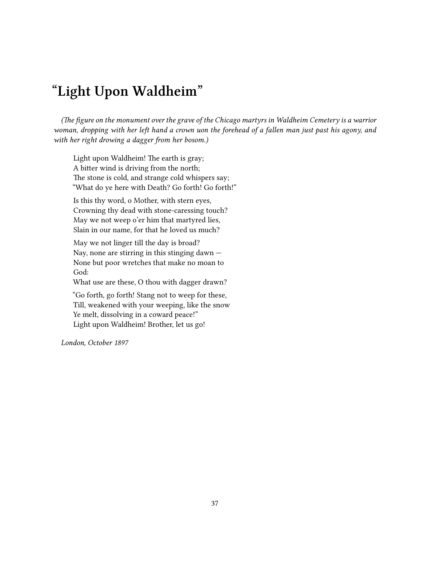# <span id="page-36-0"></span>**"Light Upon Waldheim"**

*(The figure on the monument over the grave of the Chicago martyrs in Waldheim Cemetery is a warrior woman, dropping with her left hand a crown uon the forehead of a fallen man just past his agony, and with her right drowing a dagger from her bosom.)*

Light upon Waldheim! The earth is gray; A bitter wind is driving from the north; The stone is cold, and strange cold whispers say; "What do ye here with Death? Go forth! Go forth!"

Is this thy word, o Mother, with stern eyes, Crowning thy dead with stone-caressing touch? May we not weep o'er him that martyred lies, Slain in our name, for that he loved us much?

May we not linger till the day is broad? Nay, none are stirring in this stinging dawn  $-$ None but poor wretches that make no moan to God:

What use are these, O thou with dagger drawn?

"Go forth, go forth! Stang not to weep for these, Till, weakened with your weeping, like the snow Ye melt, dissolving in a coward peace!" Light upon Waldheim! Brother, let us go!

*London, October 1897*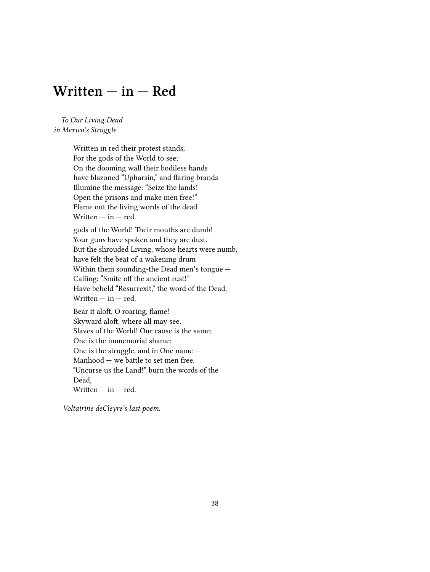#### <span id="page-37-0"></span>**Written — in — Red**

*To Our Living Dead in Mexico's Struggle*

> Written in red their protest stands, For the gods of the World to see; On the dooming wall their bodiless hands have blazoned "Upharsin," and flaring brands Illumine the message: "Seize the lands! Open the prisons and make men free!" Flame out the living words of the dead Written  $-$  in  $-$  red.

gods of the World! Their mouths are dumb! Your guns have spoken and they are dust. But the shrouded Living, whose hearts were numb, have felt the beat of a wakening drum Within them sounding-the Dead men's tongue — Calling: "Smite off the ancient rust!" Have beheld "Resurrexit," the word of the Dead, Written  $-$  in  $-$  red.

Bear it aloft, O roaring, flame! Skyward aloft, where all may see. Slaves of the World! Our caose is the same; One is the immemorial shame; One is the struggle, and in One name — Manhood — we battle to set men free. "Uncurse us the Land!" burn the words of the Dead, Written  $-$  in  $-$  red.

*Voltairine deCleyre's last poem.*